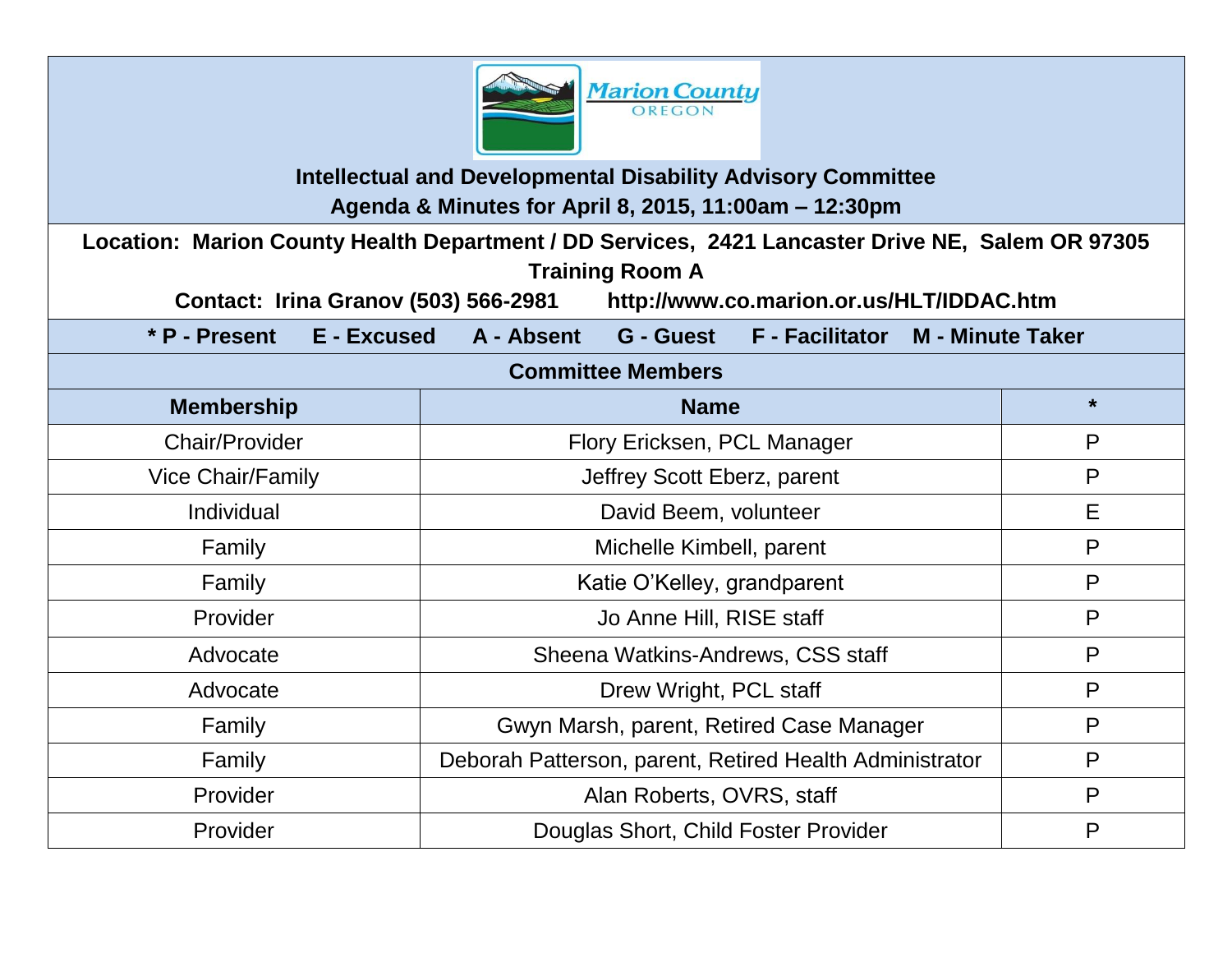

**Intellectual and Developmental Disability Advisory Committee Agenda & Minutes for April 8, 2015, 11:00am – 12:30pm**

**Location: Marion County Health Department / DD Services, 2421 Lancaster Drive NE, Salem OR 97305 Training Room A** 

**Contact: Irina Granov (503) 566-2981 http://www.co.marion.or.us/HLT/IDDAC.htm**

**\* P - Present E - Excused A - Absent G - Guest F - Facilitator M - Minute Taker**

#### **Committee Members**

| <b>Membership</b>        | <b>Name</b>                                             | $\star$ |
|--------------------------|---------------------------------------------------------|---------|
| <b>Chair/Provider</b>    | Flory Ericksen, PCL Manager                             | P       |
| <b>Vice Chair/Family</b> | Jeffrey Scott Eberz, parent                             | P       |
| Individual               | David Beem, volunteer                                   | E       |
| Family                   | Michelle Kimbell, parent                                | P       |
| Family                   | Katie O'Kelley, grandparent                             | P       |
| Provider                 | Jo Anne Hill, RISE staff                                | P       |
| Advocate                 | Sheena Watkins-Andrews, CSS staff                       | P       |
| Advocate                 | Drew Wright, PCL staff                                  | P       |
| Family                   | Gwyn Marsh, parent, Retired Case Manager                | P       |
| Family                   | Deborah Patterson, parent, Retired Health Administrator |         |
| Provider                 | Alan Roberts, OVRS, staff                               |         |
| Provider                 | Douglas Short, Child Foster Provider                    | P       |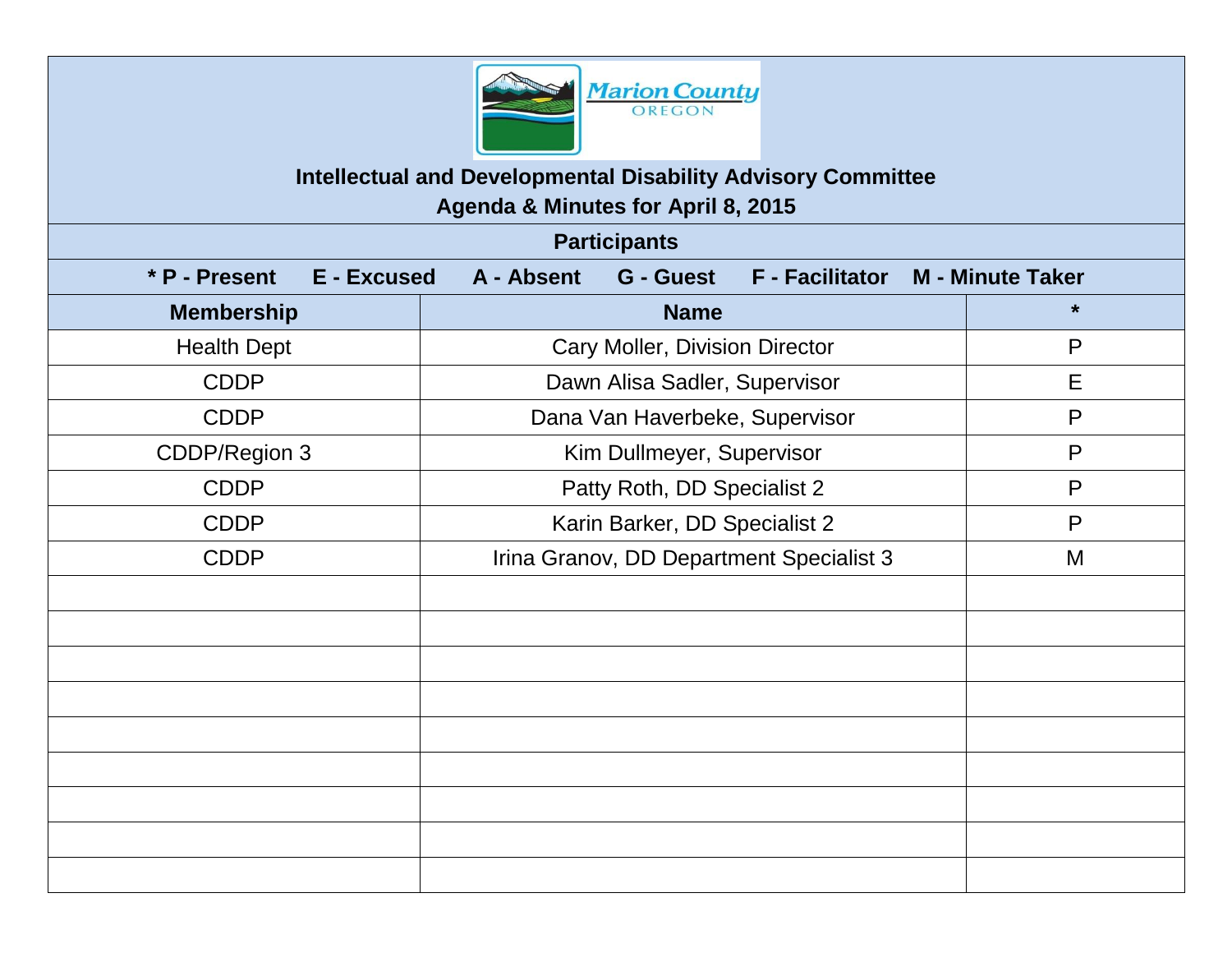

### **Intellectual and Developmental Disability Advisory Committee Agenda & Minutes for April 8, 2015**

**Participants \* P - Present E - Excused A - Absent G - Guest F - Facilitator M - Minute Taker Membership**  $*$ Health Dept Figure 1 Cary Moller, Division Director Figure 2 P CDDP | Dawn Alisa Sadler, Supervisor | E CDDP Reserves and Dana Van Haverbeke, Supervisor New Preserves and Preserves and Preserves and Preserves and P CDDP/Region 3 The Region 3 CDDP/Region 3 CDDP/Region 3 P CDDP Ratty Roth, DD Specialist 2 Patty Roth, P CDDP Rarin Barker, DD Specialist 2 P CDDP **Irina Granov, DD Department Specialist 3** M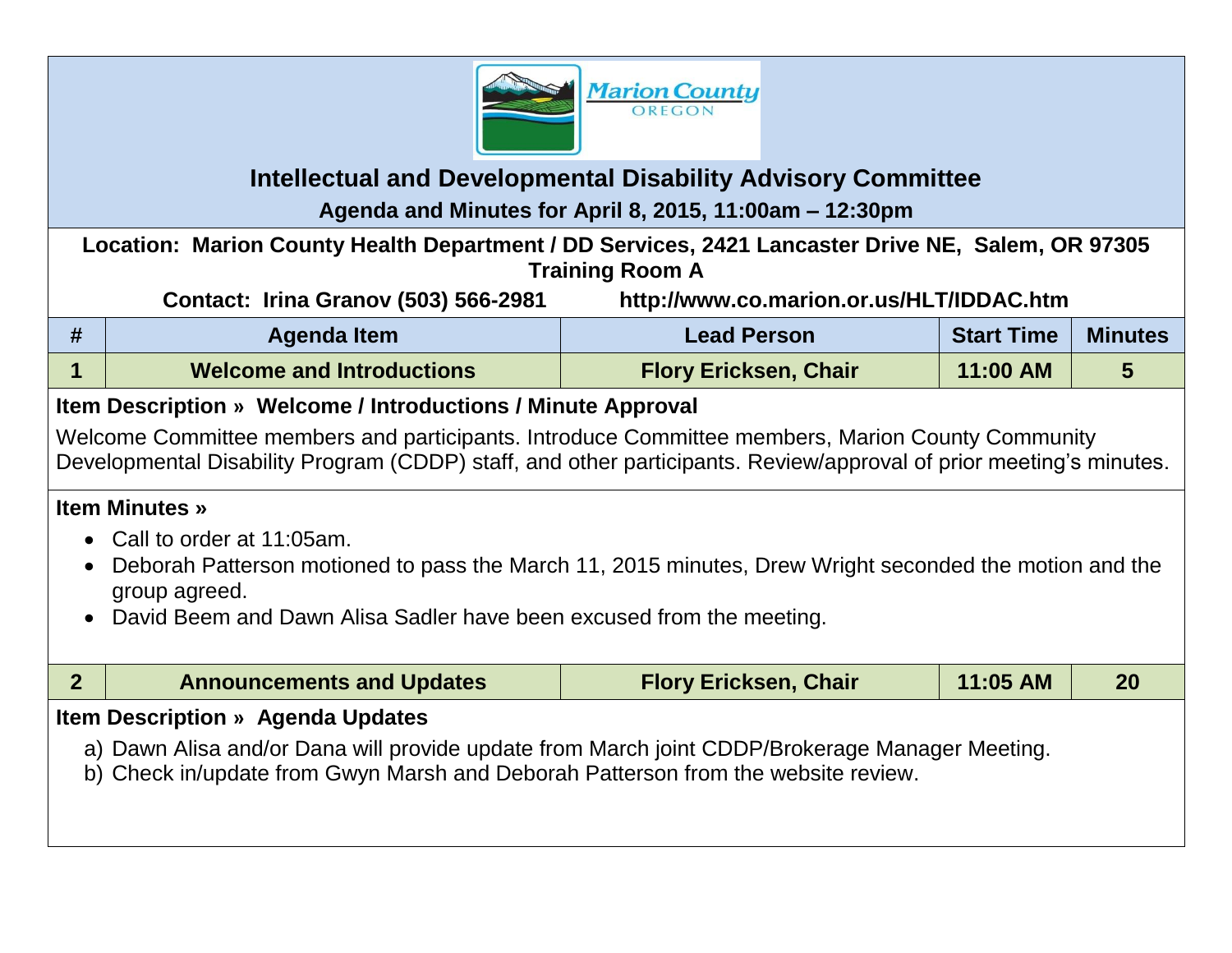

# **Intellectual and Developmental Disability Advisory Committee Agenda and Minutes for April 8, 2015, 11:00am – 12:30pm**

**Location: Marion County Health Department / DD Services, 2421 Lancaster Drive NE, Salem, OR 97305 Training Room A**

**Contact: Irina Granov (503) 566-2981 http://www.co.marion.or.us/HLT/IDDAC.htm**

| Agenda Item                      | <b>Lead Person</b>           | <b>Start Time</b> | <b>Minutes</b> |
|----------------------------------|------------------------------|-------------------|----------------|
| <b>Welcome and Introductions</b> | <b>Flory Ericksen, Chair</b> | 11:00 AM          |                |

## **Item Description » Welcome / Introductions / Minute Approval**

Welcome Committee members and participants. Introduce Committee members, Marion County Community Developmental Disability Program (CDDP) staff, and other participants. Review/approval of prior meeting's minutes.

#### **Item Minutes »**

- Call to order at 11:05am.
- Deborah Patterson motioned to pass the March 11, 2015 minutes, Drew Wright seconded the motion and the group agreed.
- David Beem and Dawn Alisa Sadler have been excused from the meeting.

|                                                                                                                                                                                     | <b>Announcements and Updates</b> | <b>Flory Ericksen, Chair</b> | 11:05 AM | <b>20</b> |
|-------------------------------------------------------------------------------------------------------------------------------------------------------------------------------------|----------------------------------|------------------------------|----------|-----------|
| <b>Item Description » Agenda Updates</b>                                                                                                                                            |                                  |                              |          |           |
| a) Dawn Alisa and/or Dana will provide update from March joint CDDP/Brokerage Manager Meeting.<br>b) Check in/update from Gwyn Marsh and Deborah Patterson from the website review. |                                  |                              |          |           |
|                                                                                                                                                                                     |                                  |                              |          |           |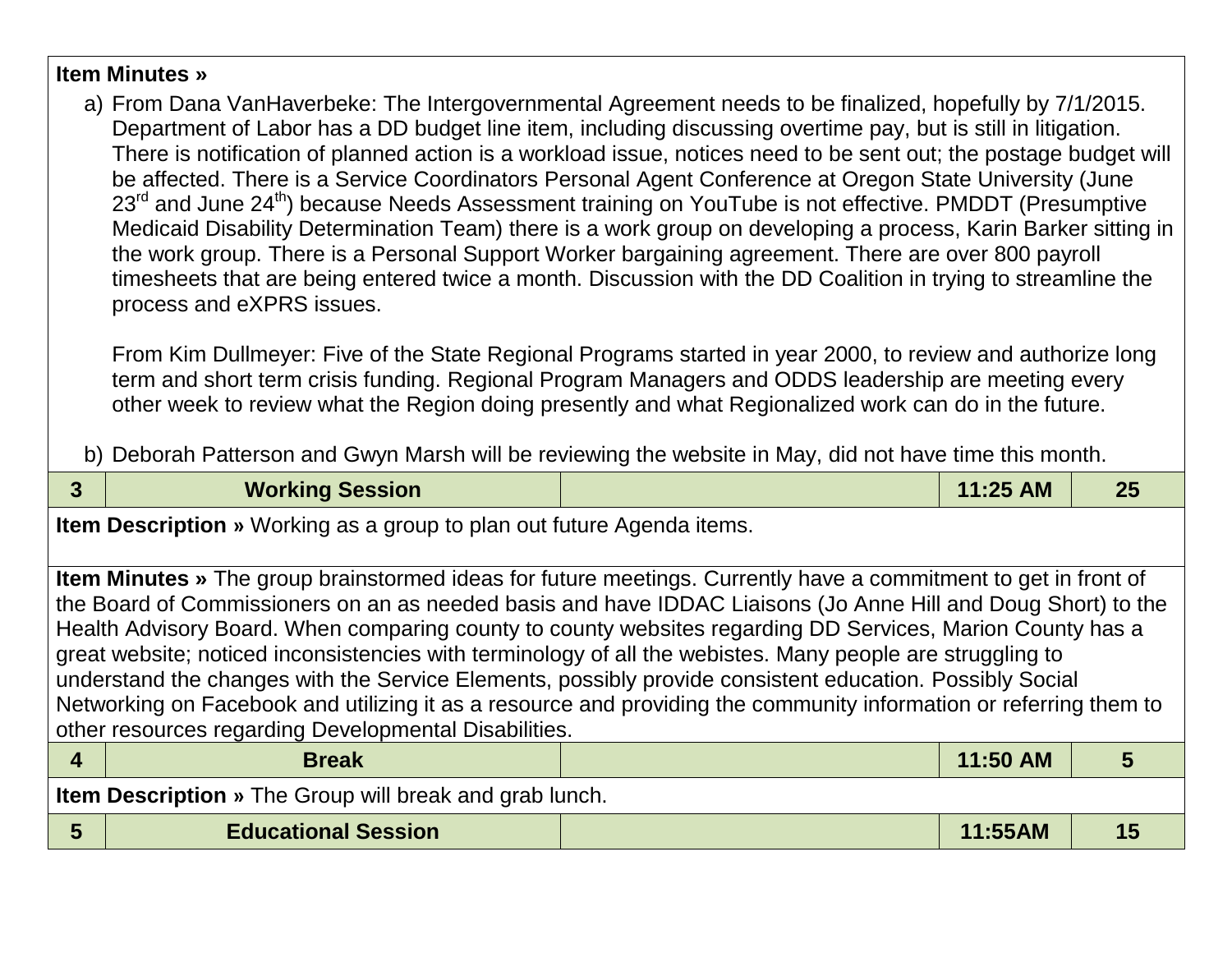#### **Item Minutes »**

a) From Dana VanHaverbeke: The Intergovernmental Agreement needs to be finalized, hopefully by 7/1/2015. Department of Labor has a DD budget line item, including discussing overtime pay, but is still in litigation. There is notification of planned action is a workload issue, notices need to be sent out; the postage budget will be affected. There is a Service Coordinators Personal Agent Conference at Oregon State University (June 23<sup>rd</sup> and June 24<sup>th</sup>) because Needs Assessment training on YouTube is not effective. PMDDT (Presumptive Medicaid Disability Determination Team) there is a work group on developing a process, Karin Barker sitting in the work group. There is a Personal Support Worker bargaining agreement. There are over 800 payroll timesheets that are being entered twice a month. Discussion with the DD Coalition in trying to streamline the process and eXPRS issues.

From Kim Dullmeyer: Five of the State Regional Programs started in year 2000, to review and authorize long term and short term crisis funding. Regional Program Managers and ODDS leadership are meeting every other week to review what the Region doing presently and what Regionalized work can do in the future.

b) Deborah Patterson and Gwyn Marsh will be reviewing the website in May, did not have time this month.

| 3                                                                             | <b>Working Session</b>                                                                                                                                                                                                                                                                                                                                                                                                                                                                                                                                                                                                                                                                                                                                         |  | 11:25 AM | 25 |  |
|-------------------------------------------------------------------------------|----------------------------------------------------------------------------------------------------------------------------------------------------------------------------------------------------------------------------------------------------------------------------------------------------------------------------------------------------------------------------------------------------------------------------------------------------------------------------------------------------------------------------------------------------------------------------------------------------------------------------------------------------------------------------------------------------------------------------------------------------------------|--|----------|----|--|
| <b>Item Description</b> » Working as a group to plan out future Agenda items. |                                                                                                                                                                                                                                                                                                                                                                                                                                                                                                                                                                                                                                                                                                                                                                |  |          |    |  |
|                                                                               | <b>Item Minutes</b> » The group brainstormed ideas for future meetings. Currently have a commitment to get in front of<br>the Board of Commissioners on an as needed basis and have IDDAC Liaisons (Jo Anne Hill and Doug Short) to the<br>Health Advisory Board. When comparing county to county websites regarding DD Services, Marion County has a<br>great website; noticed inconsistencies with terminology of all the webistes. Many people are struggling to<br>understand the changes with the Service Elements, possibly provide consistent education. Possibly Social<br>Networking on Facebook and utilizing it as a resource and providing the community information or referring them to<br>other resources regarding Developmental Disabilities. |  |          |    |  |
| $\overline{\mathbf{4}}$                                                       | <b>Break</b>                                                                                                                                                                                                                                                                                                                                                                                                                                                                                                                                                                                                                                                                                                                                                   |  | 11:50 AM |    |  |
| <b>Item Description</b> » The Group will break and grab lunch.                |                                                                                                                                                                                                                                                                                                                                                                                                                                                                                                                                                                                                                                                                                                                                                                |  |          |    |  |
| 5                                                                             | <b>Educational Session</b>                                                                                                                                                                                                                                                                                                                                                                                                                                                                                                                                                                                                                                                                                                                                     |  | 11:55AM  |    |  |